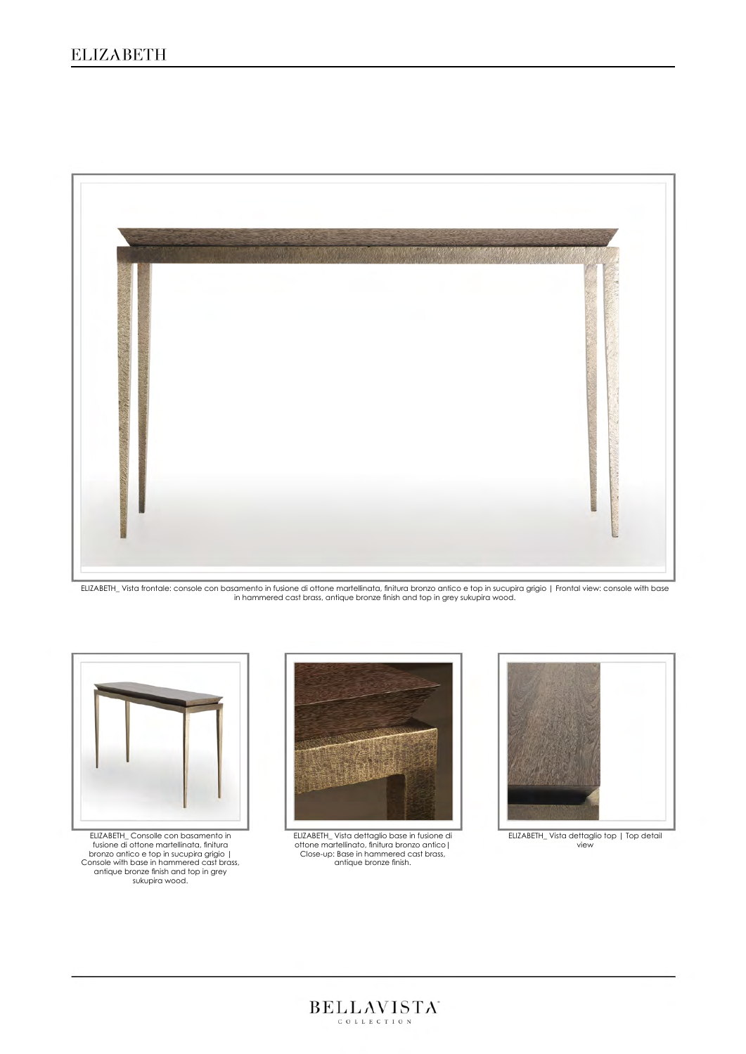## ELIZABETH



ELIZABETH\_ Vista frontale: console con basamento in fusione di ottone martellinata, finitura bronzo antico e top in sucupira grigio | Frontal view: console with base<br>in hammered cast brass, antique bronze finish and top in



ELIZABETH\_ Consolle con basamento in fusione di ottone martellinata, finitura bronzo antico e top in sucupira grigio | Console with base in hammered cast brass, antique bronze finish and top in grey sukupira wood.



ELIZABETH\_ Vista dettaglio base in fusione di ottone martellinato, finitura bronzo antico| Close-up: Base in hammered cast brass, antique bronze finish.



ELIZABETH\_ Vista dettaglio top | Top detail view